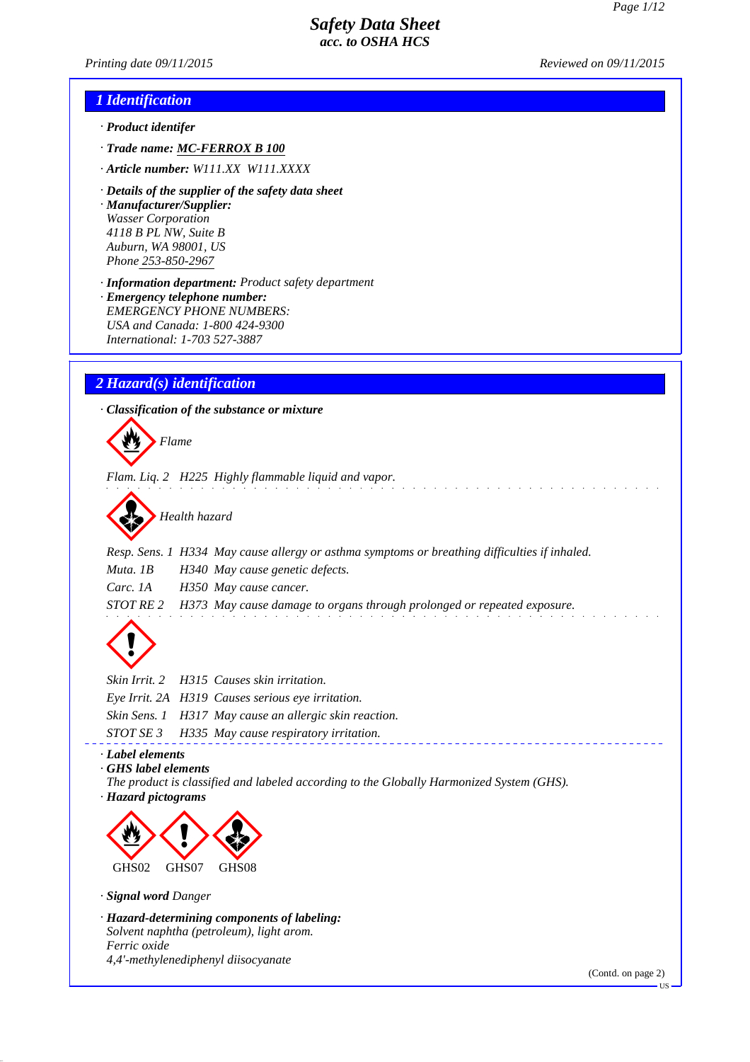*Printing date 01/01/2021 Reviewed on 01/01/2021*

#### *1 Identification*

- *· Product identifer*
- *· Trade name: MC-FERROX B 100*
- *· Article number: W111.XX W111.XXXX*
- *· Details of the supplier of the safety data sheet · Manufacturer/Supplier: Wasser Technologies 4118 B PL NW, Suite B Auburn, WA 98001, US Phone 253-850-2967*
- *· Information department: Product safety department · Emergency telephone number: EMERGENCY PHONE NUMBERS: USA and Canada: 1-800 424-9300 International: 1-703 527-3887*

## *2 Hazard(s) identification*

*· Classification of the substance or mixture*



*Flam. Liq. 2 H225 Highly flammable liquid and vapor.*



*Resp. Sens. 1 H334 May cause allergy or asthma symptoms or breathing difficulties if inhaled. Muta. 1B H340 May cause genetic defects. Carc. 1A H350 May cause cancer. STOT RE 2 H373 May cause damage to organs through prolonged or repeated exposure.*



|  | Skin Irrit. 2 H315 Causes skin irritation.             |
|--|--------------------------------------------------------|
|  | Eye Irrit. 2A H319 Causes serious eye irritation.      |
|  | Skin Sens. 1 H317 May cause an allergic skin reaction. |
|  | STOT SE 3 H335 May cause respiratory irritation.       |
|  |                                                        |

## *· Label elements*

*· GHS label elements*

*The product is classified and labeled according to the Globally Harmonized System (GHS). · Hazard pictograms*



#### *· Signal word Danger*

*· Hazard-determining components of labeling: Solvent naphtha (petroleum), light arom. Ferric oxide 4,4'-methylenediphenyl diisocyanate*

(Contd. on page 2)

US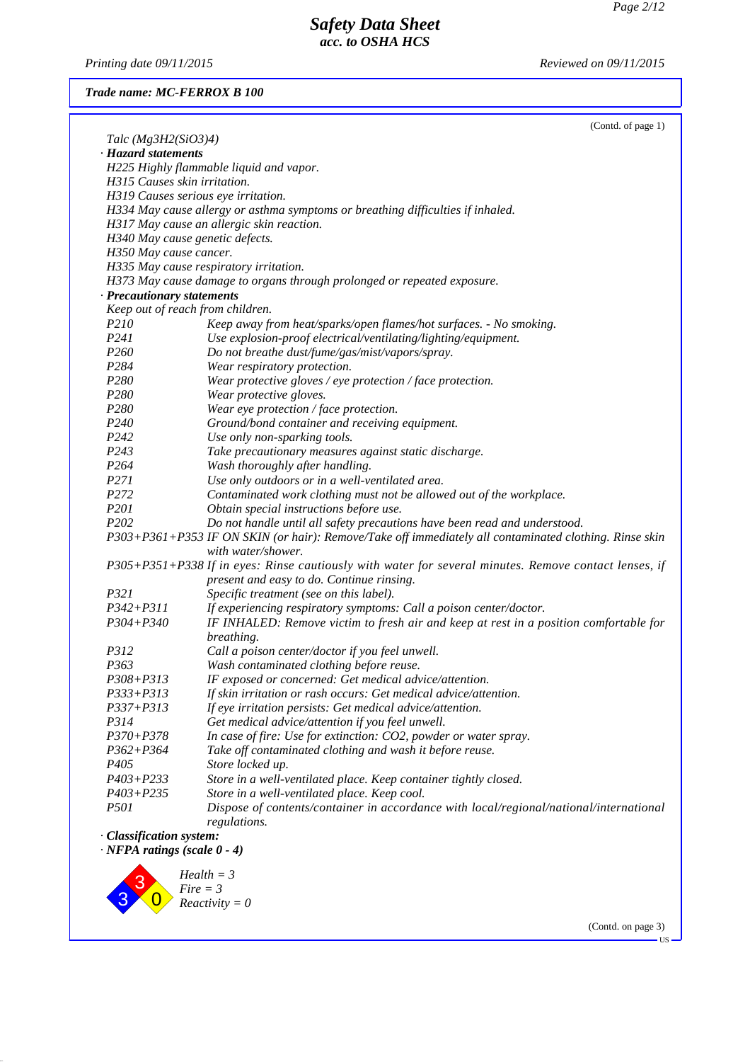*Printing date 01/01/2021 Reviewed on 01/01/2021*

(Contd. on page 3)

US

*Trade name: MC-FERROX B 100*

|                                    | (Contd. of page 1)                                                                                     |
|------------------------------------|--------------------------------------------------------------------------------------------------------|
| Talc $(Mg3H2(SiO3)4)$              |                                                                                                        |
| · Hazard statements                |                                                                                                        |
|                                    | H225 Highly flammable liquid and vapor.                                                                |
| H315 Causes skin irritation.       |                                                                                                        |
|                                    | H319 Causes serious eye irritation.                                                                    |
|                                    | H334 May cause allergy or asthma symptoms or breathing difficulties if inhaled.                        |
|                                    | H317 May cause an allergic skin reaction.                                                              |
|                                    | H340 May cause genetic defects.                                                                        |
| H350 May cause cancer.             |                                                                                                        |
|                                    | H335 May cause respiratory irritation.                                                                 |
|                                    | H373 May cause damage to organs through prolonged or repeated exposure.                                |
| · Precautionary statements         |                                                                                                        |
|                                    | Keep out of reach from children.                                                                       |
| <i>P210</i>                        | Keep away from heat/sparks/open flames/hot surfaces. - No smoking.                                     |
| P241                               | Use explosion-proof electrical/ventilating/lighting/equipment.                                         |
| P260                               | Do not breathe dust/fume/gas/mist/vapors/spray.                                                        |
| P <sub>2</sub> 84                  | Wear respiratory protection.                                                                           |
| P280                               | Wear protective gloves / eye protection / face protection.                                             |
| P280                               | Wear protective gloves.                                                                                |
| P <sub>280</sub>                   | Wear eye protection / face protection.                                                                 |
| P <sub>240</sub>                   | Ground/bond container and receiving equipment.                                                         |
| P <sub>242</sub>                   | Use only non-sparking tools.                                                                           |
| P243                               | Take precautionary measures against static discharge.                                                  |
| P <sub>264</sub>                   | Wash thoroughly after handling.                                                                        |
| P271                               | Use only outdoors or in a well-ventilated area.                                                        |
| P272                               | Contaminated work clothing must not be allowed out of the workplace.                                   |
| P <sub>201</sub>                   | Obtain special instructions before use.                                                                |
| P <sub>202</sub>                   | Do not handle until all safety precautions have been read and understood.                              |
|                                    | P303+P361+P353 IF ON SKIN (or hair): Remove/Take off immediately all contaminated clothing. Rinse skin |
|                                    | with water/shower.                                                                                     |
|                                    | P305+P351+P338 If in eyes: Rinse cautiously with water for several minutes. Remove contact lenses, if  |
|                                    | present and easy to do. Continue rinsing.                                                              |
| P321                               | Specific treatment (see on this label).                                                                |
| $P342 + P311$                      | If experiencing respiratory symptoms: Call a poison center/doctor.                                     |
| $P304 + P340$                      | IF INHALED: Remove victim to fresh air and keep at rest in a position comfortable for                  |
|                                    | breathing.                                                                                             |
| P312                               | Call a poison center/doctor if you feel unwell.                                                        |
| P363                               | Wash contaminated clothing before reuse.                                                               |
|                                    |                                                                                                        |
| P308+P313                          | IF exposed or concerned: Get medical advice/attention.                                                 |
| P333+P313                          | If skin irritation or rash occurs: Get medical advice/attention.                                       |
| P337+P313                          | If eye irritation persists: Get medical advice/attention.                                              |
| P314<br>$P370 + P378$              | Get medical advice/attention if you feel unwell.                                                       |
|                                    | In case of fire: Use for extinction: CO2, powder or water spray.                                       |
| $P362 + P364$                      | Take off contaminated clothing and wash it before reuse.                                               |
| P <sub>405</sub>                   | Store locked up.                                                                                       |
| $P403 + P233$                      | Store in a well-ventilated place. Keep container tightly closed.                                       |
| $P403 + P235$                      | Store in a well-ventilated place. Keep cool.                                                           |
| <i>P501</i>                        | Dispose of contents/container in accordance with local/regional/national/international                 |
|                                    | regulations.                                                                                           |
| · Classification system:           |                                                                                                        |
| $\cdot$ NFPA ratings (scale 0 - 4) |                                                                                                        |
|                                    | $Health = 3$                                                                                           |
|                                    | $Fire = 3$                                                                                             |
|                                    | $Reactivity = 0$                                                                                       |
|                                    |                                                                                                        |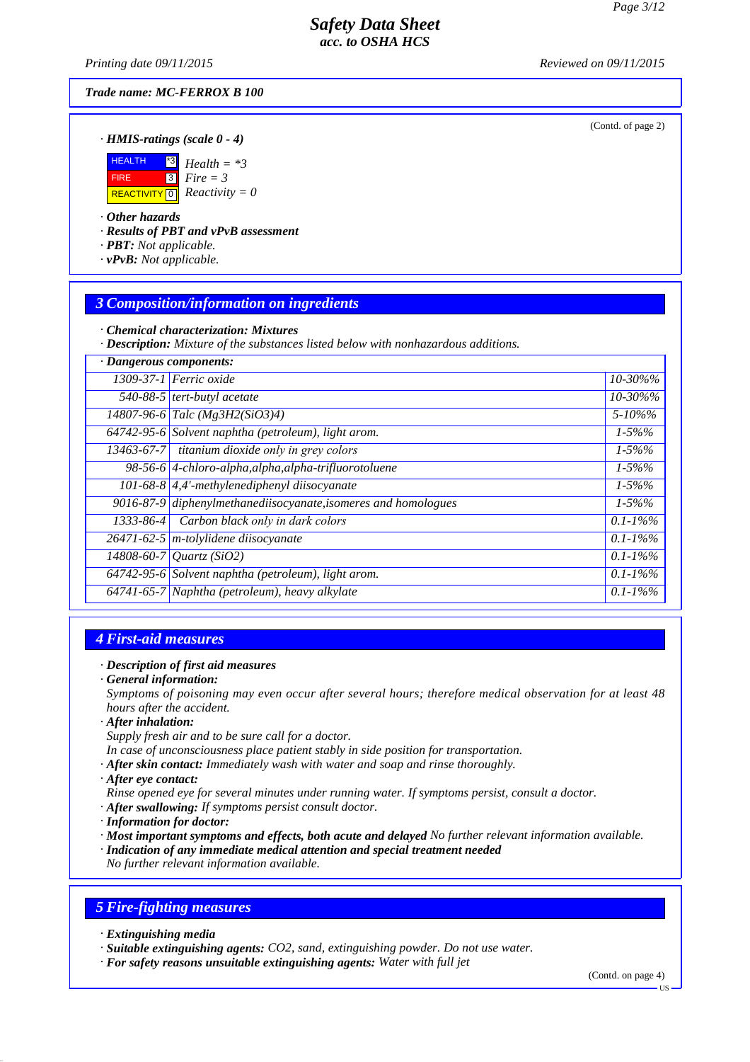*Printing date 01/01/2021 Reviewed on 01/01/2021*

*Trade name: MC-FERROX B 100*

(Contd. of page 2)

#### *· HMIS-ratings (scale 0 - 4)*



#### *· Other hazards*

*· Results of PBT and vPvB assessment*

- *· PBT: Not applicable.*
- *· vPvB: Not applicable.*

#### *3 Composition/information on ingredients*

*· Chemical characterization: Mixtures*

*· Description: Mixture of the substances listed below with nonhazardous additions.*

| · Dangerous components: |                                                                |               |
|-------------------------|----------------------------------------------------------------|---------------|
|                         | $1309-37-1$ Ferric oxide                                       | 10-30%%       |
|                         | 540-88-5 tert-butyl acetate                                    | 10-30%%       |
|                         | 14807-96-6 Talc (Mg3H2(SiO3)4)                                 | $5 - 10\%$ %  |
|                         | 64742-95-6 Solvent naphtha (petroleum), light arom.            | $1 - 5\%%$    |
| $13463 - 67 - 7$        | titanium dioxide only in grey colors                           | $1 - 5\%%$    |
|                         | 98-56-6 4-chloro-alpha, alpha, alpha-trifluorotoluene          | $1 - 5\%%$    |
|                         | 101-68-8 $\left $ 4,4'-methylenediphenyl diisocyanate          | $1 - 5\%%$    |
|                         | 9016-87-9 diphenylmethanediisocyanate, isomeres and homologues | $1 - 5\%%$    |
| $1333 - 86 - 4$         | Carbon black only in dark colors                               | $0.1 - 1\%$ % |
|                         | $26471 - 62 - 5$ m-tolylidene diisocyanate                     | $0.1 - 1\%$ % |
|                         | 14808-60-7 Quartz (SiO2)                                       | $0.1 - 1\%$ % |
|                         | 64742-95-6 Solvent naphtha (petroleum), light arom.            | $0.1 - 1\%$ % |
|                         | 64741-65-7 Naphtha (petroleum), heavy alkylate                 | $0.1 - 1\%$ % |

#### *4 First-aid measures*

#### *· Description of first aid measures*

*· General information:*

*Symptoms of poisoning may even occur after several hours; therefore medical observation for at least 48 hours after the accident.*

*· After inhalation:*

*Supply fresh air and to be sure call for a doctor.*

- *In case of unconsciousness place patient stably in side position for transportation.*
- *· After skin contact: Immediately wash with water and soap and rinse thoroughly.*

*· After eye contact:*

- *Rinse opened eye for several minutes under running water. If symptoms persist, consult a doctor.*
- *· After swallowing: If symptoms persist consult doctor.*
- *· Information for doctor:*
- *· Most important symptoms and effects, both acute and delayed No further relevant information available.*
- *· Indication of any immediate medical attention and special treatment needed*

*No further relevant information available.*

## *5 Fire-fighting measures*

*· Extinguishing media*

*· Suitable extinguishing agents: CO2, sand, extinguishing powder. Do not use water.*

*· For safety reasons unsuitable extinguishing agents: Water with full jet*

(Contd. on page 4)

US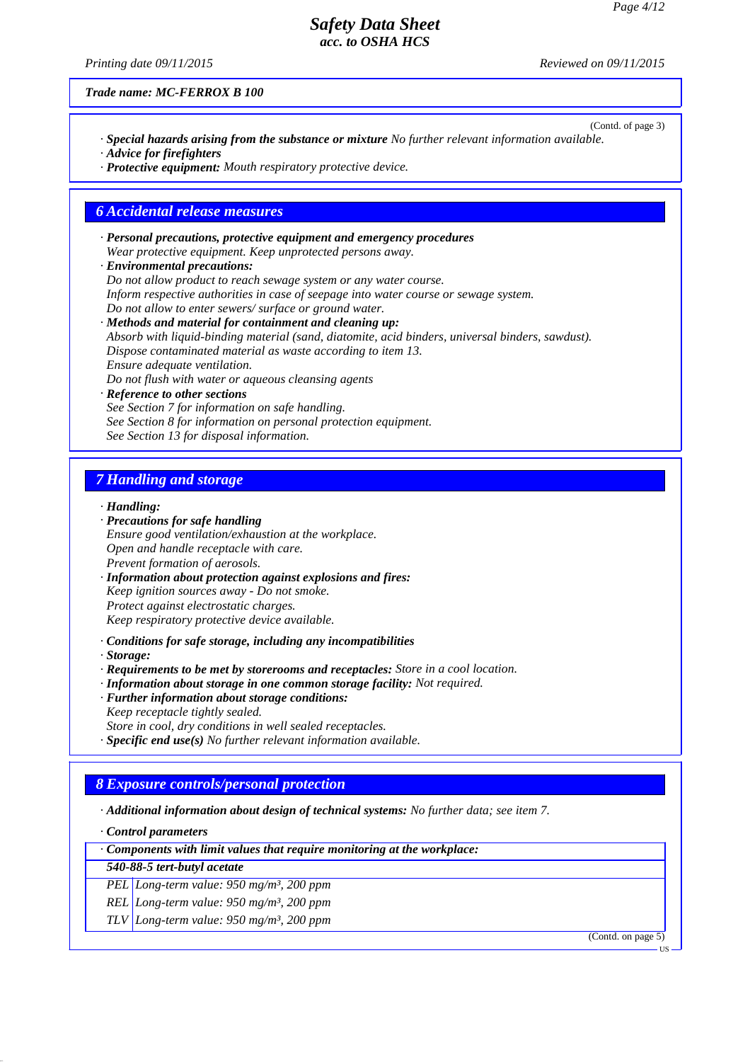*Printing date 01/01/2021 Reviewed on 01/01/2021*

*Trade name: MC-FERROX B 100*

- (Contd. of page 3) *· Special hazards arising from the substance or mixture No further relevant information available. · Advice for firefighters*
- *· Protective equipment: Mouth respiratory protective device.*

#### *6 Accidental release measures*

- *· Personal precautions, protective equipment and emergency procedures Wear protective equipment. Keep unprotected persons away.*
- *· Environmental precautions: Do not allow product to reach sewage system or any water course. Inform respective authorities in case of seepage into water course or sewage system. Do not allow to enter sewers/ surface or ground water.*
- *· Methods and material for containment and cleaning up: Absorb with liquid-binding material (sand, diatomite, acid binders, universal binders, sawdust). Dispose contaminated material as waste according to item 13. Ensure adequate ventilation. Do not flush with water or aqueous cleansing agents*
- *· Reference to other sections See Section 7 for information on safe handling. See Section 8 for information on personal protection equipment. See Section 13 for disposal information.*

#### *7 Handling and storage*

#### *· Handling:*

- *· Precautions for safe handling*
- *Ensure good ventilation/exhaustion at the workplace. Open and handle receptacle with care. Prevent formation of aerosols.*
- *· Information about protection against explosions and fires: Keep ignition sources away - Do not smoke. Protect against electrostatic charges. Keep respiratory protective device available.*
- *· Conditions for safe storage, including any incompatibilities*
- *· Storage:*
- *· Requirements to be met by storerooms and receptacles: Store in a cool location.*
- *· Information about storage in one common storage facility: Not required.*
- *· Further information about storage conditions:*
- *Keep receptacle tightly sealed. Store in cool, dry conditions in well sealed receptacles.*
- *· Specific end use(s) No further relevant information available.*
- 

# *8 Exposure controls/personal protection*

*· Additional information about design of technical systems: No further data; see item 7.*

*· Control parameters*

*· Components with limit values that require monitoring at the workplace:*

- *540-88-5 tert-butyl acetate*
- *PEL Long-term value: 950 mg/m³, 200 ppm*
- *REL Long-term value: 950 mg/m³, 200 ppm*

*TLV Long-term value: 950 mg/m³, 200 ppm*

(Contd. on page 5)

US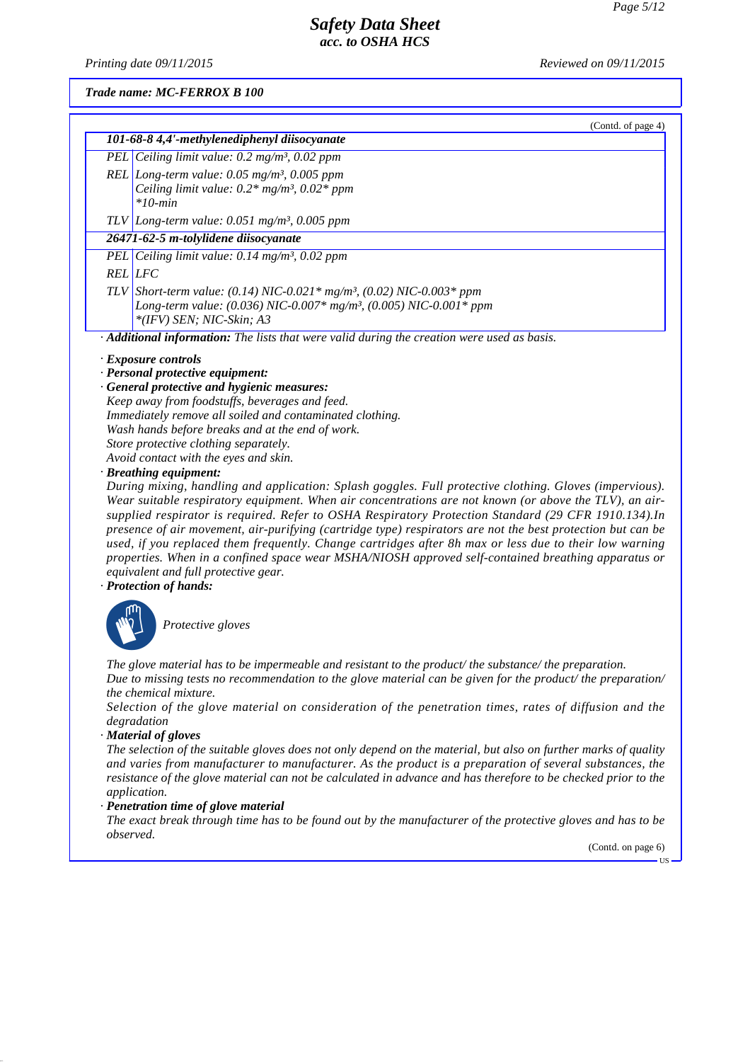(Contd. of page 4)

## *Safety Data Sheet acc. to OSHA HCS*

*Printing date 01/01/2021 Reviewed on 01/01/2021*

*Trade name: MC-FERROX B 100*

| 101-68-8 4,4'-methylenediphenyl diisocyanate                                                            |  |  |
|---------------------------------------------------------------------------------------------------------|--|--|
| PEL Ceiling limit value: $0.2 \text{ mg/m}^3$ , $0.02 \text{ ppm}$                                      |  |  |
| REL Long-term value: $0.05$ mg/m <sup>3</sup> , $0.005$ ppm                                             |  |  |
| Ceiling limit value: $0.2*$ mg/m <sup>3</sup> , $0.02*$ ppm                                             |  |  |
| $*10$ -min                                                                                              |  |  |
| TLV Long-term value: $0.051$ mg/m <sup>3</sup> , 0.005 ppm                                              |  |  |
| 26471-62-5 m-tolylidene diisocyanate                                                                    |  |  |
| PEL Ceiling limit value: $0.14$ mg/m <sup>3</sup> , $0.02$ ppm                                          |  |  |
| <b>REL</b> LFC                                                                                          |  |  |
| TLV Short-term value: (0.14) NIC-0.021* mg/m <sup>3</sup> , (0.02) NIC-0.003* ppm                       |  |  |
| Long-term value: (0.036) NIC-0.007* mg/m <sup>3</sup> , (0.005) NIC-0.001* ppm                          |  |  |
| *(IFV) SEN; NIC-Skin; A3                                                                                |  |  |
| · Additional information: The lists that were valid during the creation were used as basis.             |  |  |
| · Exposure controls                                                                                     |  |  |
| · Personal protective equipment:                                                                        |  |  |
| · General protective and hygienic measures:                                                             |  |  |
| Keep away from foodstuffs, beverages and feed.                                                          |  |  |
| Immediately remove all soiled and contaminated clothing.                                                |  |  |
| Wash hands before breaks and at the end of work.                                                        |  |  |
| Store protective clothing separately.                                                                   |  |  |
| Avoid contact with the eyes and skin.                                                                   |  |  |
| · Breathing equipment:                                                                                  |  |  |
| During mixing, handling and application: Splash goggles. Full protective clothing. Gloves (impervious). |  |  |

*During mixing, handling and application: Splash goggles. Full protective clothing. Gloves (impervious).* During mixing, nanaling ana application: Splash goggles. Full protective clothing. Gloves (impervious).<br>Wear suitable respiratory equipment. When air concentrations are not known (or above the TLV), an air*supplied respirator is required. Refer to OSHA Respiratory Protection Standard (29 CFR 1910.134).In presence of air movement, air-purifying (cartridge type) respirators are not the best protection but can be used, if you replaced them frequently. Change cartridges after 8h max or less due to their low warning properties. When in a confined space wear MSHA/NIOSH approved self-contained breathing apparatus or equivalent and full protective gear.*

*· Protection of hands:*



`S*Protective gloves*

*The glove material has to be impermeable and resistant to the product/ the substance/ the preparation. Due to missing tests no recommendation to the glove material can be given for the product/ the preparation/ the chemical mixture.*

*Selection of the glove material on consideration of the penetration times, rates of diffusion and the degradation*

*· Material of gloves*

*The selection of the suitable gloves does not only depend on the material, but also on further marks of quality and varies from manufacturer to manufacturer. As the product is a preparation of several substances, the resistance of the glove material can not be calculated in advance and has therefore to be checked prior to the application.*

#### *· Penetration time of glove material*

*The exact break through time has to be found out by the manufacturer of the protective gloves and has to be observed.*

(Contd. on page 6)

US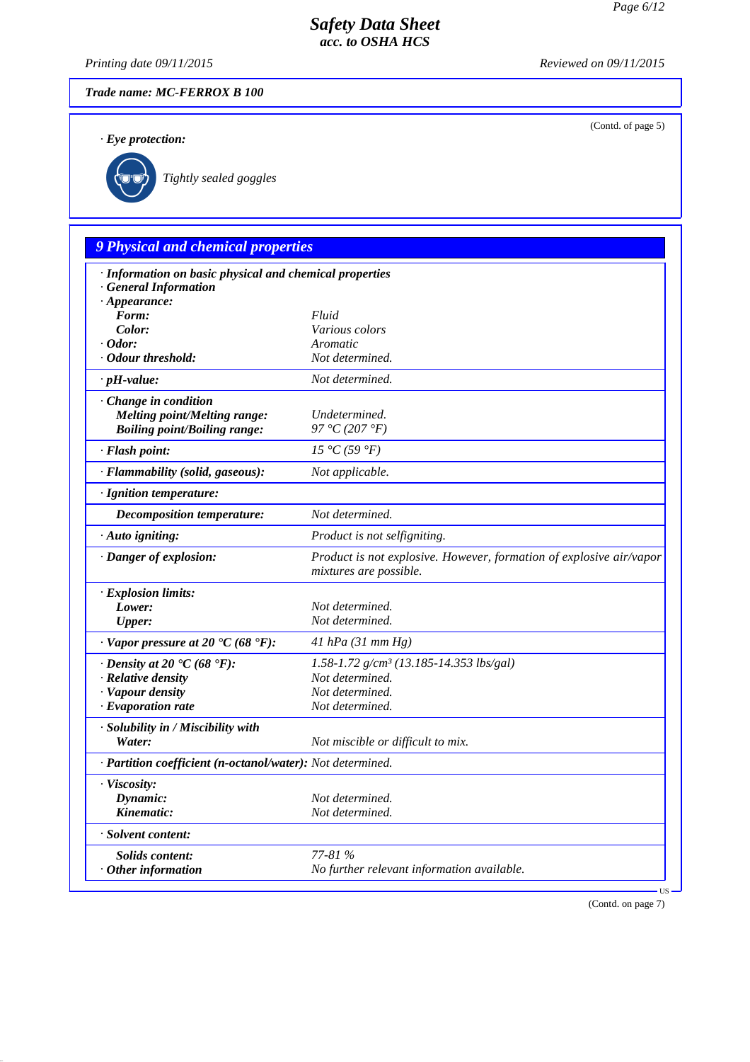(Contd. of page 5)

# *Safety Data Sheet acc. to OSHA HCS*

*Printing date 01/01/2021 Reviewed on 01/01/2021*

*Trade name: MC-FERROX B 100*

*· Eye protection:*



`R*Tightly sealed goggles*

# *9 Physical and chemical properties*

| · Information on basic physical and chemical properties<br><b>General Information</b> |                                                                                               |
|---------------------------------------------------------------------------------------|-----------------------------------------------------------------------------------------------|
| $\cdot$ Appearance:                                                                   |                                                                                               |
| Form:                                                                                 | Fluid                                                                                         |
| Color:                                                                                | Various colors                                                                                |
| $\cdot$ Odor:                                                                         | Aromatic                                                                                      |
| • Odour threshold:                                                                    | Not determined.                                                                               |
| $\cdot$ pH-value:                                                                     | Not determined.                                                                               |
| · Change in condition                                                                 |                                                                                               |
| <b>Melting point/Melting range:</b>                                                   | Undetermined.<br>97 °C (207 °F)                                                               |
| <b>Boiling point/Boiling range:</b>                                                   |                                                                                               |
| · Flash point:                                                                        | 15 °C(59 °F)                                                                                  |
| · Flammability (solid, gaseous):                                                      | Not applicable.                                                                               |
| · Ignition temperature:                                                               |                                                                                               |
| Decomposition temperature:                                                            | Not determined.                                                                               |
| · Auto igniting:                                                                      | Product is not selfigniting.                                                                  |
| · Danger of explosion:                                                                | Product is not explosive. However, formation of explosive air/vapor<br>mixtures are possible. |
| · Explosion limits:                                                                   |                                                                                               |
| Lower:                                                                                | Not determined.                                                                               |
| <b>Upper:</b>                                                                         | Not determined.                                                                               |
| $\cdot$ Vapor pressure at 20 $\cdot$ C (68 $\cdot$ F):                                | 41 hPa $(31$ mm Hg)                                                                           |
| $\cdot$ Density at 20 $\cdot$ C (68 $\cdot$ F):                                       | 1.58-1.72 $g/cm^3$ (13.185-14.353 lbs/gal)                                                    |
| · Relative density                                                                    | Not determined.                                                                               |
| · Vapour density                                                                      | Not determined.                                                                               |
| $\cdot$ Evaporation rate                                                              | Not determined.                                                                               |
| · Solubility in / Miscibility with                                                    |                                                                                               |
| Water:                                                                                | Not miscible or difficult to mix.                                                             |
| · Partition coefficient (n-octanol/water): Not determined.                            |                                                                                               |
| · Viscosity:                                                                          |                                                                                               |
| Dynamic:                                                                              | Not determined.                                                                               |
| Kinematic:                                                                            | Not determined.                                                                               |
| · Solvent content:                                                                    |                                                                                               |
| <b>Solids content:</b>                                                                | 77-81 %                                                                                       |
| $·$ Other information                                                                 | No further relevant information available.                                                    |
|                                                                                       |                                                                                               |

(Contd. on page 7)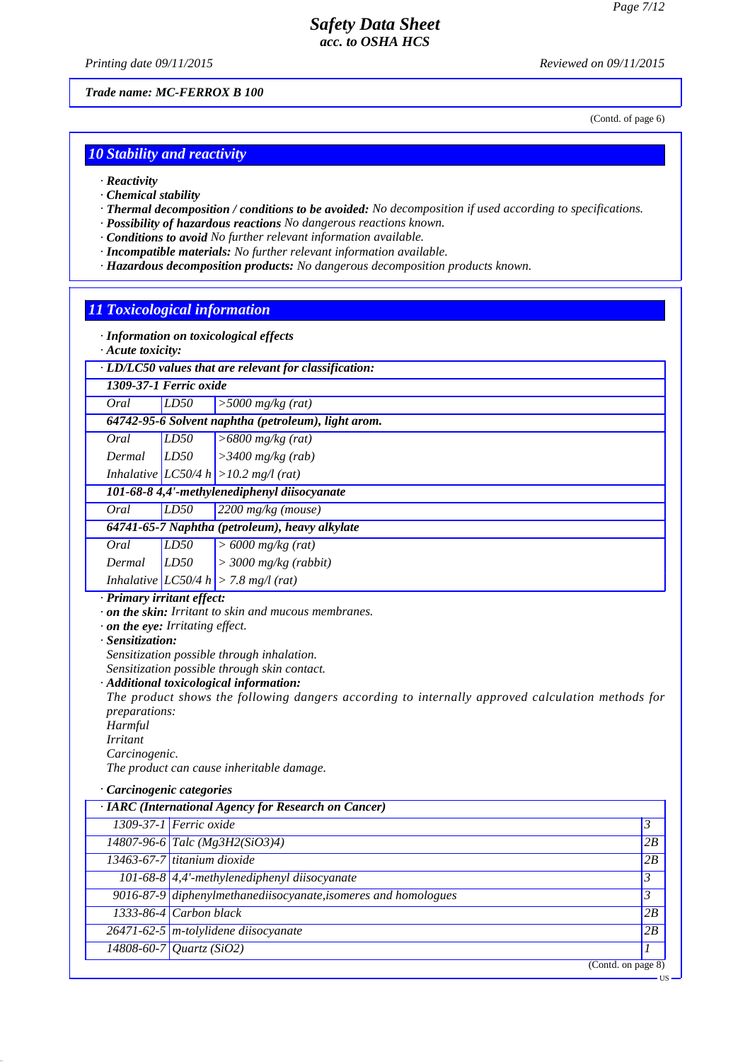*Printing date 01/01/2021 Reviewed on 01/01/2021*

*Trade name: MC-FERROX B 100*

(Contd. of page 6)

#### *10 Stability and reactivity*

- *· Reactivity*
- *· Chemical stability*
- *· Thermal decomposition / conditions to be avoided: No decomposition if used according to specifications.*
- *· Possibility of hazardous reactions No dangerous reactions known.*
- *· Conditions to avoid No further relevant information available.*
- *· Incompatible materials: No further relevant information available.*
- *· Hazardous decomposition products: No dangerous decomposition products known.*

#### *11 Toxicological information*

*· Information on toxicological effects*

#### *· Acute toxicity:*

| $\cdot$ LD/LC50 values that are relevant for classification: |  |
|--------------------------------------------------------------|--|
| 1309-37-1 Ferric oxide                                       |  |

*Oral LD50 >5000 mg/kg (rat)*

*64742-95-6 Solvent naphtha (petroleum), light arom.*

| Oral | LD50 | $\geq 6800$ mg/kg (rat) |
|------|------|-------------------------|

*Dermal LD50 >3400 mg/kg (rab) Inhalative LC50/4 h >10.2 mg/l (rat)*

#### *101-68-8 4,4'-methylenediphenyl diisocyanate*

*Oral LD50 2200 mg/kg (mouse)*

|        |      | 64741-65-7 Naphtha (petroleum), heavy alkylate |
|--------|------|------------------------------------------------|
| Oral   | LD50 | $\vert$ > 6000 mg/kg (rat)                     |
| Dermal | LD50 | $\vert$ > 3000 mg/kg (rabbit)                  |
|        |      | Inhalative $ LCS0/4 h  > 7.8 mg/(rat)$         |

#### *· Primary irritant effect:*

*· on the skin: Irritant to skin and mucous membranes.*

*· on the eye: Irritating effect.*

*· Sensitization:*

*Sensitization possible through inhalation.*

*Sensitization possible through skin contact.*

#### *· Additional toxicological information:*

*The product shows the following dangers according to internally approved calculation methods for preparations:*

*Harmful*

*Irritant Carcinogenic.*

*The product can cause inheritable damage.*

#### *· Carcinogenic categories*

| · IARC (International Agency for Research on Cancer) |                                                                |    |
|------------------------------------------------------|----------------------------------------------------------------|----|
|                                                      | 1309-37-1 Ferric oxide                                         | 3  |
|                                                      | $14807 - 96 - 6$ Talc (Mg3H2(SiO3)4)                           | 2B |
|                                                      | 13463-67-7 titanium dioxide                                    | 2B |
|                                                      | 101-68-8 $\left $ 4,4'-methylenediphenyl diisocyanate          | 3  |
|                                                      | 9016-87-9 diphenylmethanediisocyanate, isomeres and homologues | 3  |
|                                                      | $1333-86-4$ Carbon black                                       | 2B |
|                                                      | $26471 - 62 - 5$ m-tolylidene diisocyanate                     | 2B |
|                                                      | $14808 - 60 - 7$ <i>Quartz</i> (SiO2)                          |    |
|                                                      | (Contd. on page 8)                                             |    |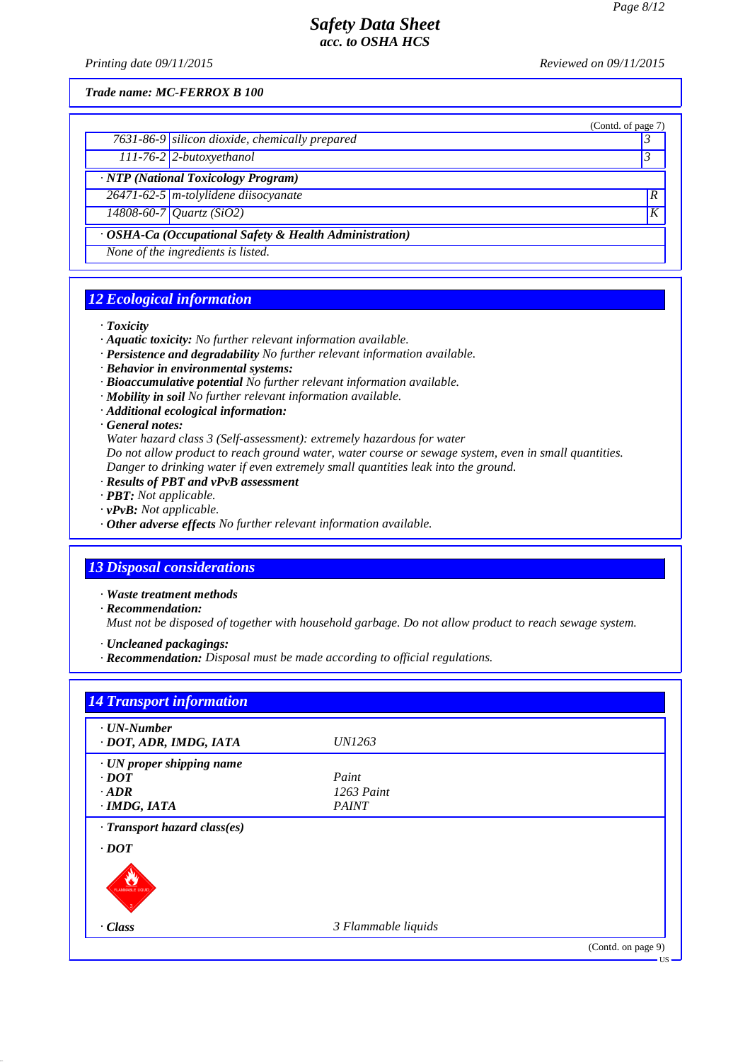*Printing date 01/01/2021 Reviewed on 01/01/2021*

*Trade name: MC-FERROX B 100*

|                                                         | (Contd. of page 7) |
|---------------------------------------------------------|--------------------|
| $7631-86-9$ silicon dioxide, chemically prepared        |                    |
| $111-76-2$ 2-butoxyethanol                              |                    |
| · NTP (National Toxicology Program)                     |                    |
| $26471 - 62 - 5$ m-tolylidene diisocyanate              | $\overline{R}$     |
| $14808 - 60 - 7$ <i>Quartz</i> (SiO2)                   | K                  |
| · OSHA-Ca (Occupational Safety & Health Administration) |                    |
| None of the ingredients is listed.                      |                    |

# *12 Ecological information*

*· Toxicity*

- *· Aquatic toxicity: No further relevant information available.*
- *· Persistence and degradability No further relevant information available.*
- *· Behavior in environmental systems:*
- *· Bioaccumulative potential No further relevant information available.*
- *· Mobility in soil No further relevant information available.*
- *· Additional ecological information:*

#### *· General notes:*

*Water hazard class 3 (Self-assessment): extremely hazardous for water Do not allow product to reach ground water, water course or sewage system, even in small quantities.*

- *Danger to drinking water if even extremely small quantities leak into the ground.*
- *· Results of PBT and vPvB assessment*
- *· PBT: Not applicable.*
- *· vPvB: Not applicable.*
- *· Other adverse effects No further relevant information available.*

#### *13 Disposal considerations*

- *· Waste treatment methods*
- *· Recommendation:*

*Must not be disposed of together with household garbage. Do not allow product to reach sewage system.*

- *· Uncleaned packagings:*
- *· Recommendation: Disposal must be made according to official regulations.*

| $\cdot$ UN-Number<br>· DOT, ADR, IMDG, IATA | <i>UN1263</i>       |  |
|---------------------------------------------|---------------------|--|
|                                             |                     |  |
| · UN proper shipping name                   | Paint               |  |
| $\cdot$ <i>DOT</i>                          |                     |  |
| $\cdot$ ADR                                 | $1263$ Paint        |  |
| $\cdot$ IMDG, IATA                          | <b>PAINT</b>        |  |
| $\cdot$ Transport hazard class(es)          |                     |  |
| $\cdot$ <i>DOT</i>                          |                     |  |
|                                             |                     |  |
| <b>FLAMMABLE LIQUID</b>                     |                     |  |
|                                             |                     |  |
|                                             |                     |  |
| $\cdot$ Class                               | 3 Flammable liquids |  |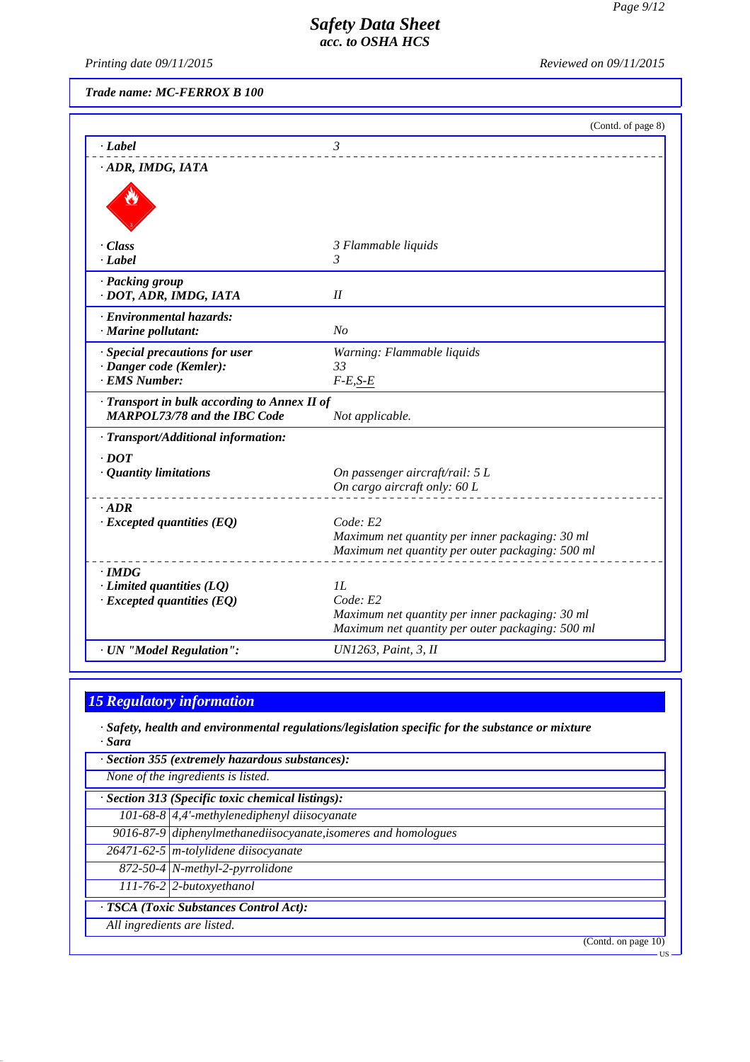US

# *Safety Data Sheet acc. to OSHA HCS*

*Printing date 01/01/2021 Reviewed on 01/01/2021*

*Trade name: MC-FERROX B 100*

|                                                           | (Contd. of page 8)                                                                                  |
|-----------------------------------------------------------|-----------------------------------------------------------------------------------------------------|
| · Label                                                   | 3                                                                                                   |
| · ADR, IMDG, IATA                                         |                                                                                                     |
|                                                           |                                                                                                     |
|                                                           |                                                                                                     |
|                                                           |                                                                                                     |
| $\cdot Class$                                             | 3 Flammable liquids                                                                                 |
| $-Label$                                                  | 3                                                                                                   |
| · Packing group                                           |                                                                                                     |
| · DOT, ADR, IMDG, IATA                                    | I                                                                                                   |
| · Environmental hazards:<br>· Marine pollutant:           | N <sub>O</sub>                                                                                      |
|                                                           |                                                                                                     |
| · Special precautions for user<br>· Danger code (Kemler): | Warning: Flammable liquids<br>33                                                                    |
| · EMS Number:                                             | $F-E, S-E$                                                                                          |
| · Transport in bulk according to Annex II of              |                                                                                                     |
| <b>MARPOL73/78 and the IBC Code</b>                       | Not applicable.                                                                                     |
| · Transport/Additional information:                       |                                                                                                     |
| $.$ DOT                                                   |                                                                                                     |
| · Quantity limitations                                    | On passenger aircraft/rail: 5 L                                                                     |
|                                                           | On cargo aircraft only: 60 L                                                                        |
| $.$ ADR<br>$\cdot$ Excepted quantities (EQ)               | Code: E2                                                                                            |
|                                                           | Maximum net quantity per inner packaging: 30 ml                                                     |
|                                                           | Maximum net quantity per outer packaging: 500 ml                                                    |
| $\cdot$ IMDG                                              |                                                                                                     |
| $\cdot$ Limited quantities (LQ)                           | II.                                                                                                 |
| $\cdot$ Excepted quantities (EQ)                          | Code: E2                                                                                            |
|                                                           | Maximum net quantity per inner packaging: 30 ml<br>Maximum net quantity per outer packaging: 500 ml |
| · UN "Model Regulation":                                  | UN1263, Paint, 3, II                                                                                |
|                                                           |                                                                                                     |

# *15 Regulatory information*

*· Safety, health and environmental regulations/legislation specific for the substance or mixture · Sara*

| · Section 355 (extremely hazardous substances):                |                        |
|----------------------------------------------------------------|------------------------|
| None of the ingredients is listed.                             |                        |
| · Section 313 (Specific toxic chemical listings):              |                        |
| 101-68-8 4,4'-methylenediphenyl diisocyanate                   |                        |
| 9016-87-9 diphenylmethanediisocyanate, isomeres and homologues |                        |
| $26471 - 62 - 5$ m-tolylidene diisocyanate                     |                        |
| 872-50-4 N-methyl-2-pyrrolidone                                |                        |
| $111-76-2$ 2-butoxyethanol                                     |                        |
| · TSCA (Toxic Substances Control Act):                         |                        |
| All ingredients are listed.                                    |                        |
|                                                                | (Contd. on page $10$ ) |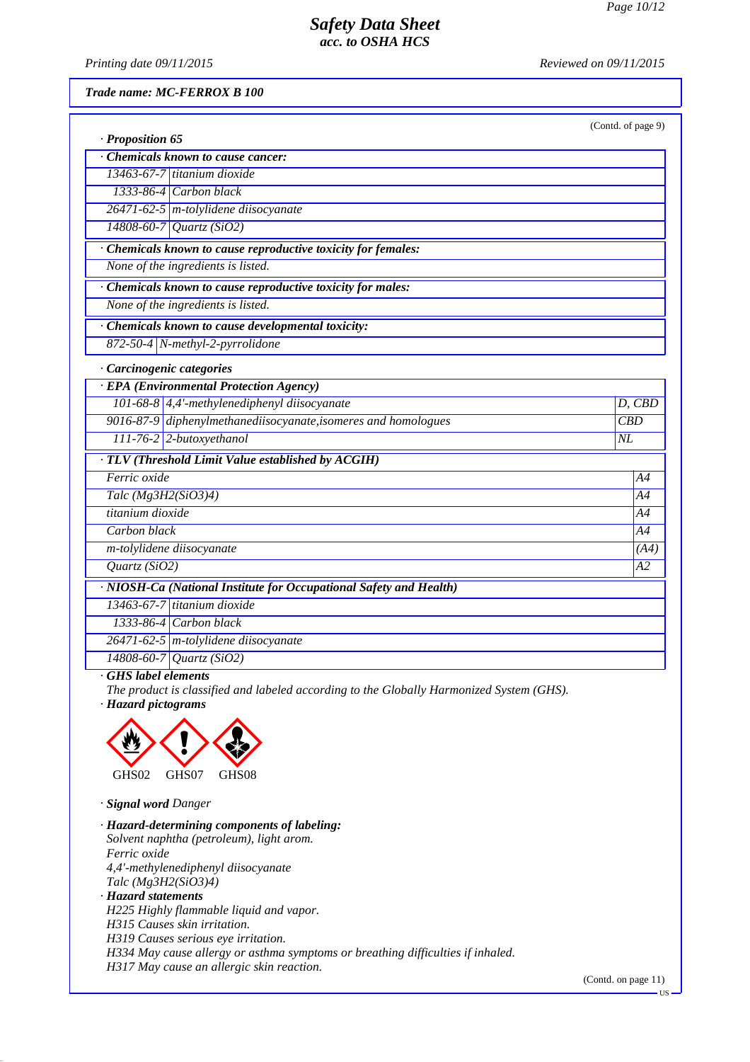*Printing date 01/01/2021 Reviewed on 01/01/2021*

*Trade name: MC-FERROX B 100*

|                                                                    | (Contd. of page 9) |
|--------------------------------------------------------------------|--------------------|
| · Proposition 65<br>Chemicals known to cause cancer:               |                    |
| 13463-67-7 titanium dioxide                                        |                    |
| 1333-86-4 Carbon black                                             |                    |
| $26471 - 62 - 5$ m-tolylidene diisocyanate                         |                    |
| $14808 - 60 - 7$ <i>Quartz</i> (SiO2)                              |                    |
| · Chemicals known to cause reproductive toxicity for females:      |                    |
| None of the ingredients is listed.                                 |                    |
| · Chemicals known to cause reproductive toxicity for males:        |                    |
| None of the ingredients is listed.                                 |                    |
| Chemicals known to cause developmental toxicity:                   |                    |
| 872-50-4 N-methyl-2-pyrrolidone                                    |                    |
| · Carcinogenic categories                                          |                    |
| · EPA (Environmental Protection Agency)                            |                    |
| 101-68-8 4,4'-methylenediphenyl diisocyanate                       | D, CBD             |
| 9016-87-9 diphenylmethanediisocyanate, isomeres and homologues     | CBD                |
| 111-76-2 2-butoxyethanol                                           | NL                 |
| · TLV (Threshold Limit Value established by ACGIH)                 |                    |
| Ferric oxide                                                       | A4                 |
| Talc (Mg3H2(SiO3)4)                                                | A4                 |
| titanium dioxide                                                   | A4                 |
| Carbon black                                                       | A4                 |
| m-tolylidene diisocyanate                                          | (A4)               |
| Quartz (SiO2)                                                      | A2                 |
| · NIOSH-Ca (National Institute for Occupational Safety and Health) |                    |
| 13463-67-7 titanium dioxide                                        |                    |
| $1333-86-4$ Carbon black                                           |                    |
| 26471-62-5 m-tolylidene diisocyanate                               |                    |
| $14808 - 60 - 7$ <i>Quartz</i> (SiO2)                              |                    |

*· GHS label elements*

*The product is classified and labeled according to the Globally Harmonized System (GHS).*

*· Hazard pictograms*



*· Signal word Danger*

*· Hazard-determining components of labeling: Solvent naphtha (petroleum), light arom. Ferric oxide 4,4'-methylenediphenyl diisocyanate Talc (Mg3H2(SiO3)4) · Hazard statements H225 Highly flammable liquid and vapor. H315 Causes skin irritation. H319 Causes serious eye irritation. H334 May cause allergy or asthma symptoms or breathing difficulties if inhaled. H317 May cause an allergic skin reaction.*

(Contd. on page 11)

US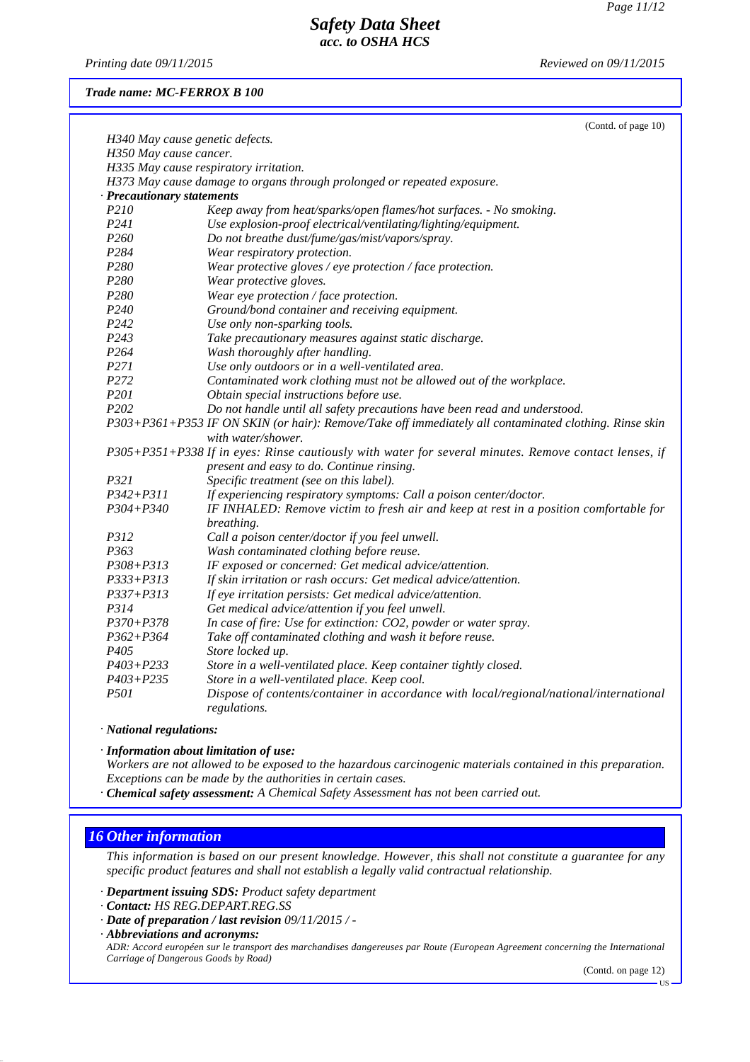*Printing date 01/01/2021 Reviewed on 01/01/2021*

*Trade name: MC-FERROX B 100*

| H340 May cause genetic defects.<br>H350 May cause cancer.<br>H335 May cause respiratory irritation.<br>H373 May cause damage to organs through prolonged or repeated exposure.<br>· Precautionary statements<br>P210<br>Keep away from heat/sparks/open flames/hot surfaces. - No smoking.<br>P <sub>241</sub><br>Use explosion-proof electrical/ventilating/lighting/equipment.<br>P <sub>260</sub><br>Do not breathe dust/fume/gas/mist/vapors/spray.<br>P284<br>Wear respiratory protection.<br>P280<br>Wear protective gloves / eye protection / face protection.<br>P280<br>Wear protective gloves.<br>P280<br>Wear eye protection / face protection.<br>P <sub>240</sub><br>Ground/bond container and receiving equipment.<br>P242<br>Use only non-sparking tools.<br>P <sub>243</sub><br>Take precautionary measures against static discharge.<br>P <sub>264</sub><br>Wash thoroughly after handling.<br>P <sub>271</sub><br>Use only outdoors or in a well-ventilated area.<br>P272<br>Contaminated work clothing must not be allowed out of the workplace.<br>P201<br>Obtain special instructions before use.<br>P202<br>Do not handle until all safety precautions have been read and understood.<br>P303+P361+P353 IF ON SKIN (or hair): Remove/Take off immediately all contaminated clothing. Rinse skin<br>with water/shower.<br>P305+P351+P338 If in eyes: Rinse cautiously with water for several minutes. Remove contact lenses, if<br>present and easy to do. Continue rinsing.<br>P321<br>Specific treatment (see on this label).<br>$P342 + P311$<br>If experiencing respiratory symptoms: Call a poison center/doctor.<br>$P304 + P340$<br>IF INHALED: Remove victim to fresh air and keep at rest in a position comfortable for<br>breathing.<br>P312<br>Call a poison center/doctor if you feel unwell.<br>P <sub>363</sub><br>Wash contaminated clothing before reuse.<br>$P308 + P313$<br>IF exposed or concerned: Get medical advice/attention.<br>$P333 + P313$<br>If skin irritation or rash occurs: Get medical advice/attention.<br>$P337 + P313$<br>If eye irritation persists: Get medical advice/attention.<br>P314<br>Get medical advice/attention if you feel unwell.<br>$P370 + P378$<br>In case of fire: Use for extinction: CO2, powder or water spray.<br>$P362 + P364$<br>Take off contaminated clothing and wash it before reuse.<br>P405<br>Store locked up.<br>$P403 + P233$<br>Store in a well-ventilated place. Keep container tightly closed.<br>$P403 + P235$<br>Store in a well-ventilated place. Keep cool.<br><i>P501</i><br>Dispose of contents/container in accordance with local/regional/national/international<br>regulations. | (Contd. of page 10) |  |  |
|---------------------------------------------------------------------------------------------------------------------------------------------------------------------------------------------------------------------------------------------------------------------------------------------------------------------------------------------------------------------------------------------------------------------------------------------------------------------------------------------------------------------------------------------------------------------------------------------------------------------------------------------------------------------------------------------------------------------------------------------------------------------------------------------------------------------------------------------------------------------------------------------------------------------------------------------------------------------------------------------------------------------------------------------------------------------------------------------------------------------------------------------------------------------------------------------------------------------------------------------------------------------------------------------------------------------------------------------------------------------------------------------------------------------------------------------------------------------------------------------------------------------------------------------------------------------------------------------------------------------------------------------------------------------------------------------------------------------------------------------------------------------------------------------------------------------------------------------------------------------------------------------------------------------------------------------------------------------------------------------------------------------------------------------------------------------------------------------------------------------------------------------------------------------------------------------------------------------------------------------------------------------------------------------------------------------------------------------------------------------------------------------------------------------------------------------------------------------------------------------------------------------------------------------------------------------------------------------------------------------------------------------------------------------------------------|---------------------|--|--|
|                                                                                                                                                                                                                                                                                                                                                                                                                                                                                                                                                                                                                                                                                                                                                                                                                                                                                                                                                                                                                                                                                                                                                                                                                                                                                                                                                                                                                                                                                                                                                                                                                                                                                                                                                                                                                                                                                                                                                                                                                                                                                                                                                                                                                                                                                                                                                                                                                                                                                                                                                                                                                                                                                       |                     |  |  |
|                                                                                                                                                                                                                                                                                                                                                                                                                                                                                                                                                                                                                                                                                                                                                                                                                                                                                                                                                                                                                                                                                                                                                                                                                                                                                                                                                                                                                                                                                                                                                                                                                                                                                                                                                                                                                                                                                                                                                                                                                                                                                                                                                                                                                                                                                                                                                                                                                                                                                                                                                                                                                                                                                       |                     |  |  |
|                                                                                                                                                                                                                                                                                                                                                                                                                                                                                                                                                                                                                                                                                                                                                                                                                                                                                                                                                                                                                                                                                                                                                                                                                                                                                                                                                                                                                                                                                                                                                                                                                                                                                                                                                                                                                                                                                                                                                                                                                                                                                                                                                                                                                                                                                                                                                                                                                                                                                                                                                                                                                                                                                       |                     |  |  |
|                                                                                                                                                                                                                                                                                                                                                                                                                                                                                                                                                                                                                                                                                                                                                                                                                                                                                                                                                                                                                                                                                                                                                                                                                                                                                                                                                                                                                                                                                                                                                                                                                                                                                                                                                                                                                                                                                                                                                                                                                                                                                                                                                                                                                                                                                                                                                                                                                                                                                                                                                                                                                                                                                       |                     |  |  |
|                                                                                                                                                                                                                                                                                                                                                                                                                                                                                                                                                                                                                                                                                                                                                                                                                                                                                                                                                                                                                                                                                                                                                                                                                                                                                                                                                                                                                                                                                                                                                                                                                                                                                                                                                                                                                                                                                                                                                                                                                                                                                                                                                                                                                                                                                                                                                                                                                                                                                                                                                                                                                                                                                       |                     |  |  |
|                                                                                                                                                                                                                                                                                                                                                                                                                                                                                                                                                                                                                                                                                                                                                                                                                                                                                                                                                                                                                                                                                                                                                                                                                                                                                                                                                                                                                                                                                                                                                                                                                                                                                                                                                                                                                                                                                                                                                                                                                                                                                                                                                                                                                                                                                                                                                                                                                                                                                                                                                                                                                                                                                       |                     |  |  |
|                                                                                                                                                                                                                                                                                                                                                                                                                                                                                                                                                                                                                                                                                                                                                                                                                                                                                                                                                                                                                                                                                                                                                                                                                                                                                                                                                                                                                                                                                                                                                                                                                                                                                                                                                                                                                                                                                                                                                                                                                                                                                                                                                                                                                                                                                                                                                                                                                                                                                                                                                                                                                                                                                       |                     |  |  |
|                                                                                                                                                                                                                                                                                                                                                                                                                                                                                                                                                                                                                                                                                                                                                                                                                                                                                                                                                                                                                                                                                                                                                                                                                                                                                                                                                                                                                                                                                                                                                                                                                                                                                                                                                                                                                                                                                                                                                                                                                                                                                                                                                                                                                                                                                                                                                                                                                                                                                                                                                                                                                                                                                       |                     |  |  |
|                                                                                                                                                                                                                                                                                                                                                                                                                                                                                                                                                                                                                                                                                                                                                                                                                                                                                                                                                                                                                                                                                                                                                                                                                                                                                                                                                                                                                                                                                                                                                                                                                                                                                                                                                                                                                                                                                                                                                                                                                                                                                                                                                                                                                                                                                                                                                                                                                                                                                                                                                                                                                                                                                       |                     |  |  |
|                                                                                                                                                                                                                                                                                                                                                                                                                                                                                                                                                                                                                                                                                                                                                                                                                                                                                                                                                                                                                                                                                                                                                                                                                                                                                                                                                                                                                                                                                                                                                                                                                                                                                                                                                                                                                                                                                                                                                                                                                                                                                                                                                                                                                                                                                                                                                                                                                                                                                                                                                                                                                                                                                       |                     |  |  |
|                                                                                                                                                                                                                                                                                                                                                                                                                                                                                                                                                                                                                                                                                                                                                                                                                                                                                                                                                                                                                                                                                                                                                                                                                                                                                                                                                                                                                                                                                                                                                                                                                                                                                                                                                                                                                                                                                                                                                                                                                                                                                                                                                                                                                                                                                                                                                                                                                                                                                                                                                                                                                                                                                       |                     |  |  |
|                                                                                                                                                                                                                                                                                                                                                                                                                                                                                                                                                                                                                                                                                                                                                                                                                                                                                                                                                                                                                                                                                                                                                                                                                                                                                                                                                                                                                                                                                                                                                                                                                                                                                                                                                                                                                                                                                                                                                                                                                                                                                                                                                                                                                                                                                                                                                                                                                                                                                                                                                                                                                                                                                       |                     |  |  |
|                                                                                                                                                                                                                                                                                                                                                                                                                                                                                                                                                                                                                                                                                                                                                                                                                                                                                                                                                                                                                                                                                                                                                                                                                                                                                                                                                                                                                                                                                                                                                                                                                                                                                                                                                                                                                                                                                                                                                                                                                                                                                                                                                                                                                                                                                                                                                                                                                                                                                                                                                                                                                                                                                       |                     |  |  |
|                                                                                                                                                                                                                                                                                                                                                                                                                                                                                                                                                                                                                                                                                                                                                                                                                                                                                                                                                                                                                                                                                                                                                                                                                                                                                                                                                                                                                                                                                                                                                                                                                                                                                                                                                                                                                                                                                                                                                                                                                                                                                                                                                                                                                                                                                                                                                                                                                                                                                                                                                                                                                                                                                       |                     |  |  |
|                                                                                                                                                                                                                                                                                                                                                                                                                                                                                                                                                                                                                                                                                                                                                                                                                                                                                                                                                                                                                                                                                                                                                                                                                                                                                                                                                                                                                                                                                                                                                                                                                                                                                                                                                                                                                                                                                                                                                                                                                                                                                                                                                                                                                                                                                                                                                                                                                                                                                                                                                                                                                                                                                       |                     |  |  |
|                                                                                                                                                                                                                                                                                                                                                                                                                                                                                                                                                                                                                                                                                                                                                                                                                                                                                                                                                                                                                                                                                                                                                                                                                                                                                                                                                                                                                                                                                                                                                                                                                                                                                                                                                                                                                                                                                                                                                                                                                                                                                                                                                                                                                                                                                                                                                                                                                                                                                                                                                                                                                                                                                       |                     |  |  |
|                                                                                                                                                                                                                                                                                                                                                                                                                                                                                                                                                                                                                                                                                                                                                                                                                                                                                                                                                                                                                                                                                                                                                                                                                                                                                                                                                                                                                                                                                                                                                                                                                                                                                                                                                                                                                                                                                                                                                                                                                                                                                                                                                                                                                                                                                                                                                                                                                                                                                                                                                                                                                                                                                       |                     |  |  |
|                                                                                                                                                                                                                                                                                                                                                                                                                                                                                                                                                                                                                                                                                                                                                                                                                                                                                                                                                                                                                                                                                                                                                                                                                                                                                                                                                                                                                                                                                                                                                                                                                                                                                                                                                                                                                                                                                                                                                                                                                                                                                                                                                                                                                                                                                                                                                                                                                                                                                                                                                                                                                                                                                       |                     |  |  |
|                                                                                                                                                                                                                                                                                                                                                                                                                                                                                                                                                                                                                                                                                                                                                                                                                                                                                                                                                                                                                                                                                                                                                                                                                                                                                                                                                                                                                                                                                                                                                                                                                                                                                                                                                                                                                                                                                                                                                                                                                                                                                                                                                                                                                                                                                                                                                                                                                                                                                                                                                                                                                                                                                       |                     |  |  |
|                                                                                                                                                                                                                                                                                                                                                                                                                                                                                                                                                                                                                                                                                                                                                                                                                                                                                                                                                                                                                                                                                                                                                                                                                                                                                                                                                                                                                                                                                                                                                                                                                                                                                                                                                                                                                                                                                                                                                                                                                                                                                                                                                                                                                                                                                                                                                                                                                                                                                                                                                                                                                                                                                       |                     |  |  |
|                                                                                                                                                                                                                                                                                                                                                                                                                                                                                                                                                                                                                                                                                                                                                                                                                                                                                                                                                                                                                                                                                                                                                                                                                                                                                                                                                                                                                                                                                                                                                                                                                                                                                                                                                                                                                                                                                                                                                                                                                                                                                                                                                                                                                                                                                                                                                                                                                                                                                                                                                                                                                                                                                       |                     |  |  |
|                                                                                                                                                                                                                                                                                                                                                                                                                                                                                                                                                                                                                                                                                                                                                                                                                                                                                                                                                                                                                                                                                                                                                                                                                                                                                                                                                                                                                                                                                                                                                                                                                                                                                                                                                                                                                                                                                                                                                                                                                                                                                                                                                                                                                                                                                                                                                                                                                                                                                                                                                                                                                                                                                       |                     |  |  |
|                                                                                                                                                                                                                                                                                                                                                                                                                                                                                                                                                                                                                                                                                                                                                                                                                                                                                                                                                                                                                                                                                                                                                                                                                                                                                                                                                                                                                                                                                                                                                                                                                                                                                                                                                                                                                                                                                                                                                                                                                                                                                                                                                                                                                                                                                                                                                                                                                                                                                                                                                                                                                                                                                       |                     |  |  |
|                                                                                                                                                                                                                                                                                                                                                                                                                                                                                                                                                                                                                                                                                                                                                                                                                                                                                                                                                                                                                                                                                                                                                                                                                                                                                                                                                                                                                                                                                                                                                                                                                                                                                                                                                                                                                                                                                                                                                                                                                                                                                                                                                                                                                                                                                                                                                                                                                                                                                                                                                                                                                                                                                       |                     |  |  |
|                                                                                                                                                                                                                                                                                                                                                                                                                                                                                                                                                                                                                                                                                                                                                                                                                                                                                                                                                                                                                                                                                                                                                                                                                                                                                                                                                                                                                                                                                                                                                                                                                                                                                                                                                                                                                                                                                                                                                                                                                                                                                                                                                                                                                                                                                                                                                                                                                                                                                                                                                                                                                                                                                       |                     |  |  |
|                                                                                                                                                                                                                                                                                                                                                                                                                                                                                                                                                                                                                                                                                                                                                                                                                                                                                                                                                                                                                                                                                                                                                                                                                                                                                                                                                                                                                                                                                                                                                                                                                                                                                                                                                                                                                                                                                                                                                                                                                                                                                                                                                                                                                                                                                                                                                                                                                                                                                                                                                                                                                                                                                       |                     |  |  |
|                                                                                                                                                                                                                                                                                                                                                                                                                                                                                                                                                                                                                                                                                                                                                                                                                                                                                                                                                                                                                                                                                                                                                                                                                                                                                                                                                                                                                                                                                                                                                                                                                                                                                                                                                                                                                                                                                                                                                                                                                                                                                                                                                                                                                                                                                                                                                                                                                                                                                                                                                                                                                                                                                       |                     |  |  |
|                                                                                                                                                                                                                                                                                                                                                                                                                                                                                                                                                                                                                                                                                                                                                                                                                                                                                                                                                                                                                                                                                                                                                                                                                                                                                                                                                                                                                                                                                                                                                                                                                                                                                                                                                                                                                                                                                                                                                                                                                                                                                                                                                                                                                                                                                                                                                                                                                                                                                                                                                                                                                                                                                       |                     |  |  |
|                                                                                                                                                                                                                                                                                                                                                                                                                                                                                                                                                                                                                                                                                                                                                                                                                                                                                                                                                                                                                                                                                                                                                                                                                                                                                                                                                                                                                                                                                                                                                                                                                                                                                                                                                                                                                                                                                                                                                                                                                                                                                                                                                                                                                                                                                                                                                                                                                                                                                                                                                                                                                                                                                       |                     |  |  |
|                                                                                                                                                                                                                                                                                                                                                                                                                                                                                                                                                                                                                                                                                                                                                                                                                                                                                                                                                                                                                                                                                                                                                                                                                                                                                                                                                                                                                                                                                                                                                                                                                                                                                                                                                                                                                                                                                                                                                                                                                                                                                                                                                                                                                                                                                                                                                                                                                                                                                                                                                                                                                                                                                       |                     |  |  |
|                                                                                                                                                                                                                                                                                                                                                                                                                                                                                                                                                                                                                                                                                                                                                                                                                                                                                                                                                                                                                                                                                                                                                                                                                                                                                                                                                                                                                                                                                                                                                                                                                                                                                                                                                                                                                                                                                                                                                                                                                                                                                                                                                                                                                                                                                                                                                                                                                                                                                                                                                                                                                                                                                       |                     |  |  |
|                                                                                                                                                                                                                                                                                                                                                                                                                                                                                                                                                                                                                                                                                                                                                                                                                                                                                                                                                                                                                                                                                                                                                                                                                                                                                                                                                                                                                                                                                                                                                                                                                                                                                                                                                                                                                                                                                                                                                                                                                                                                                                                                                                                                                                                                                                                                                                                                                                                                                                                                                                                                                                                                                       |                     |  |  |
|                                                                                                                                                                                                                                                                                                                                                                                                                                                                                                                                                                                                                                                                                                                                                                                                                                                                                                                                                                                                                                                                                                                                                                                                                                                                                                                                                                                                                                                                                                                                                                                                                                                                                                                                                                                                                                                                                                                                                                                                                                                                                                                                                                                                                                                                                                                                                                                                                                                                                                                                                                                                                                                                                       |                     |  |  |
|                                                                                                                                                                                                                                                                                                                                                                                                                                                                                                                                                                                                                                                                                                                                                                                                                                                                                                                                                                                                                                                                                                                                                                                                                                                                                                                                                                                                                                                                                                                                                                                                                                                                                                                                                                                                                                                                                                                                                                                                                                                                                                                                                                                                                                                                                                                                                                                                                                                                                                                                                                                                                                                                                       |                     |  |  |
|                                                                                                                                                                                                                                                                                                                                                                                                                                                                                                                                                                                                                                                                                                                                                                                                                                                                                                                                                                                                                                                                                                                                                                                                                                                                                                                                                                                                                                                                                                                                                                                                                                                                                                                                                                                                                                                                                                                                                                                                                                                                                                                                                                                                                                                                                                                                                                                                                                                                                                                                                                                                                                                                                       |                     |  |  |
|                                                                                                                                                                                                                                                                                                                                                                                                                                                                                                                                                                                                                                                                                                                                                                                                                                                                                                                                                                                                                                                                                                                                                                                                                                                                                                                                                                                                                                                                                                                                                                                                                                                                                                                                                                                                                                                                                                                                                                                                                                                                                                                                                                                                                                                                                                                                                                                                                                                                                                                                                                                                                                                                                       |                     |  |  |
|                                                                                                                                                                                                                                                                                                                                                                                                                                                                                                                                                                                                                                                                                                                                                                                                                                                                                                                                                                                                                                                                                                                                                                                                                                                                                                                                                                                                                                                                                                                                                                                                                                                                                                                                                                                                                                                                                                                                                                                                                                                                                                                                                                                                                                                                                                                                                                                                                                                                                                                                                                                                                                                                                       |                     |  |  |
|                                                                                                                                                                                                                                                                                                                                                                                                                                                                                                                                                                                                                                                                                                                                                                                                                                                                                                                                                                                                                                                                                                                                                                                                                                                                                                                                                                                                                                                                                                                                                                                                                                                                                                                                                                                                                                                                                                                                                                                                                                                                                                                                                                                                                                                                                                                                                                                                                                                                                                                                                                                                                                                                                       |                     |  |  |
|                                                                                                                                                                                                                                                                                                                                                                                                                                                                                                                                                                                                                                                                                                                                                                                                                                                                                                                                                                                                                                                                                                                                                                                                                                                                                                                                                                                                                                                                                                                                                                                                                                                                                                                                                                                                                                                                                                                                                                                                                                                                                                                                                                                                                                                                                                                                                                                                                                                                                                                                                                                                                                                                                       |                     |  |  |

*· National regulations:*

*· Information about limitation of use:*

*Workers are not allowed to be exposed to the hazardous carcinogenic materials contained in this preparation. Exceptions can be made by the authorities in certain cases.*

*· Chemical safety assessment: A Chemical Safety Assessment has not been carried out.*

#### *16 Other information*

*This information is based on our present knowledge. However, this shall not constitute a guarantee for any specific product features and shall not establish a legally valid contractual relationship.*

*· Department issuing SDS: Product safety department*

- *· Date of preparation / last revision 01/01/2021 / -*
- *· Abbreviations and acronyms: ADR: Accord européen sur le transport des marchandises dangereuses par Route (European Agreement concerning the International Carriage of Dangerous Goods by Road)*

(Contd. on page 12)

*<sup>·</sup> Contact: HS REG.DEPART.REG.SS*

US